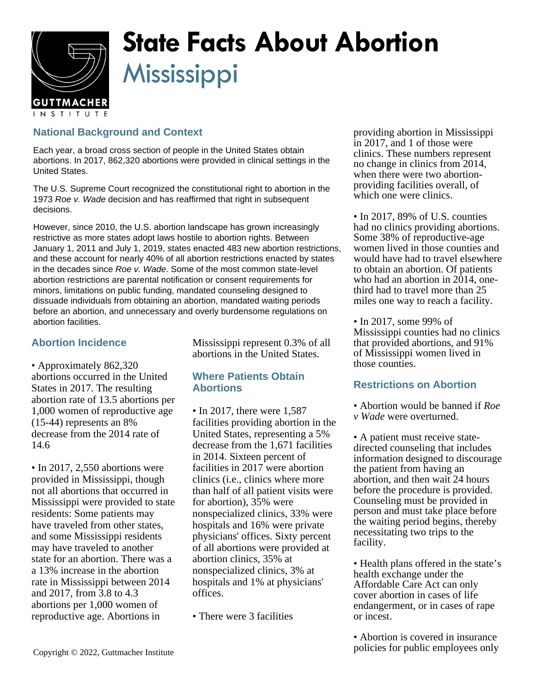

# **State Facts About Abortion** Mississippi

## **National Background and Context**

Each year, a broad cross section of people in the United States obtain abortions. In 2017, 862,320 abortions were provided in clinical settings in the United States.

The U.S. Supreme Court recognized the constitutional right to abortion in the 1973 Roe v. Wade decision and has reaffirmed that right in subsequent decisions.

However, since 2010, the U.S. abortion landscape has grown increasingly restrictive as more states adopt laws hostile to abortion rights. Between January 1, 2011 and July 1, 2019, states enacted 483 new abortion restrictions, and these account for nearly 40% of all abortion restrictions enacted by states in the decades since Roe v. Wade. Some of the most common state-level abortion restrictions are parental notification or consent requirements for minors, limitations on public funding, mandated counseling designed to dissuade individuals from obtaining an abortion, mandated waiting periods before an abortion, and unnecessary and overly burdensome regulations on abortion facilities.

## **Abortion Incidence**

• Approximately 862,320 abortions occurred in the United States in 2017. The resulting abortion rate of 13.5 abortions per 1,000 women of reproductive age (15-44) represents an 8% decrease from the 2014 rate of 14.6

• In 2017, 2,550 abortions were provided in Mississippi, though not all abortions that occurred in Mississippi were provided to state residents: Some patients may have traveled from other states, and some Mississippi residents may have traveled to another state for an abortion. There was a a 13% increase in the abortion rate in Mississippi between 2014 and 2017, from 3.8 to 4.3 abortions per 1,000 women of reproductive age. Abortions in

Mississippi represent 0.3% of all abortions in the United States.

### **Where Patients Obtain Abortions**

- In 2017, there were 1,587 facilities providing abortion in the United States, representing a 5% decrease from the 1,671 facilities in 2014. Sixteen percent of facilities in 2017 were abortion clinics (i.e., clinics where more than half of all patient visits were for abortion), 35% were nonspecialized clinics, 33% were hospitals and 16% were private physicians' offices. Sixty percent of all abortions were provided at abortion clinics, 35% at nonspecialized clinics, 3% at hospitals and 1% at physicians' offices.
- There were 3 facilities

providing abortion in Mississippi in 2017, and 1 of those were clinics. These numbers represent no change in clinics from 2014, when there were two abortionproviding facilities overall, of which one were clinics.

• In 2017, 89% of U.S. counties had no clinics providing abortions. Some 38% of reproductive-age women lived in those counties and would have had to travel elsewhere to obtain an abortion. Of patients who had an abortion in 2014, onethird had to travel more than 25 miles one way to reach a facility.

• In 2017, some 99% of Mississippi counties had no clinics that provided abortions, and 91% of Mississippi women lived in those counties.

### **Restrictions on Abortion**

- Abortion would be banned if *Roe*
- *v Wade* were overturned.

• A patient must receive statedirected counseling that includes information designed to discourage the patient from having an abortion, and then wait 24 hours before the procedure is provided. Counseling must be provided in person and must take place before the waiting period begins, thereby necessitating two trips to the facility.

• Health plans offered in the state's health exchange under the Affordable Care Act can only cover abortion in cases of life endangerment, or in cases of rape or incest.

• Abortion is covered in insurance policies for public employees only